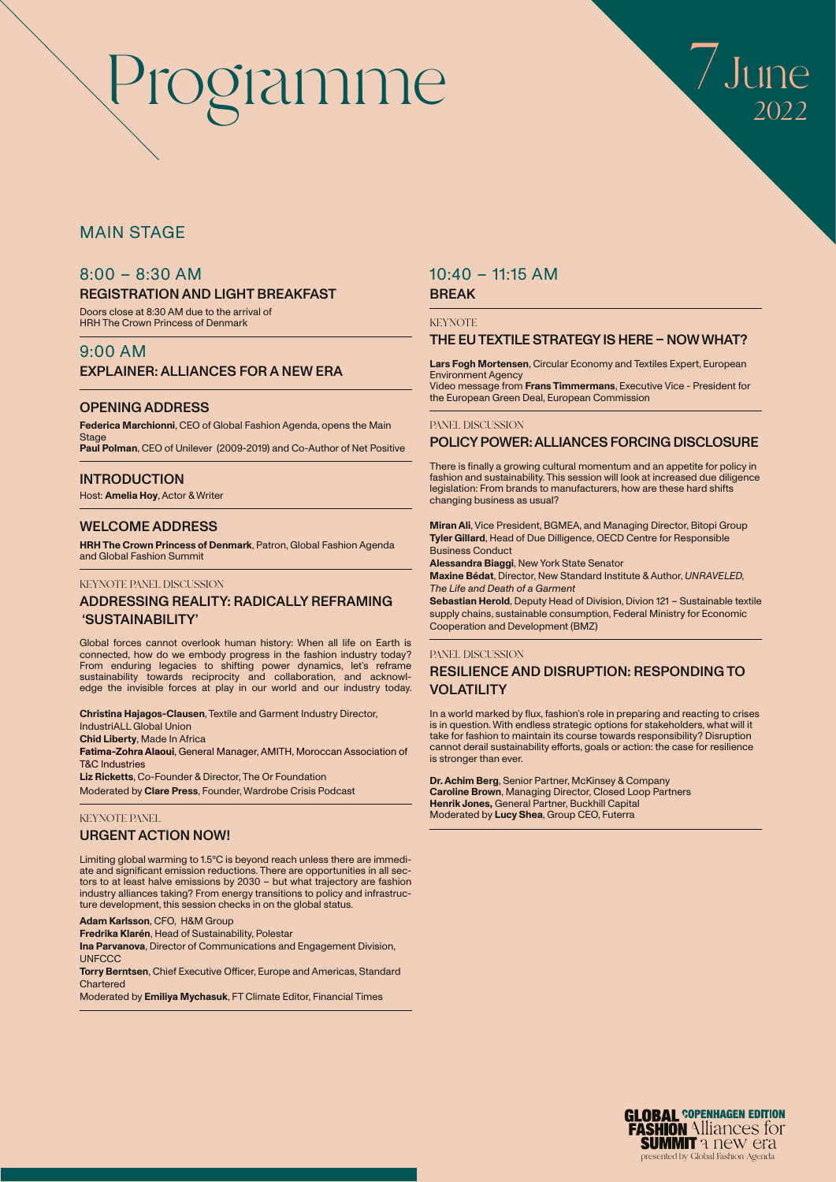

# MAIN STAGE

# 8:00 – 8:30 AM

#### REGISTRATION AND LIGHT BREAKFAST

Doors close at 8:30 AM due to the arrival of HRH The Crown Princess of Denmark

#### 9:00 AM EXPLAINER: ALLIANCES FOR A NEW ERA

#### OPENING ADDRESS

**Federica Marchionni**, CEO of Global Fashion Agenda, opens the Main Stage **Paul Polman**, CEO of Unilever (2009-2019) and Co-Author of Net Positive

**INTRODUCTION** 

Host: **Amelia Hoy**, Actor & Writer

#### WELCOME ADDRESS

**HRH The Crown Princess of Denmark**, Patron, Global Fashion Agenda and Global Fashion Summit

#### KEYNOTE PANEL DISCUSSION

#### ADDRESSING REALITY: RADICALLY REFRAMING 'SUSTAINABILITY'

Global forces cannot overlook human history: When all life on Earth is connected, how do we embody progress in the fashion industry today? From enduring legacies to shifting power dynamics, let's reframe sustainability towards reciprocity and collaboration, and acknowl-edge the invisible forces at play in our world and our industry today.

**Christina Hajagos-Clausen**, Textile and Garment Industry Director, IndustriALL Global Union

**Chid Liberty**, Made In Africa

**Fatima-Zohra Alaoui**, General Manager, AMITH, Moroccan Association of T&C Industries

**Liz Ricketts**, Co-Founder & Director, The Or Foundation

Moderated by **Clare Press**, Founder, Wardrobe Crisis Podcast

#### KEYNOTE PANEL

#### URGENT ACTION NOW!

Limiting global warming to 1.5°C is beyond reach unless there are immediate and significant emission reductions. There are opportunities in all sectors to at least halve emissions by 2030 – but what trajectory are fashion industry alliances taking? From energy transitions to policy and infrastructure development, this session checks in on the global status.

#### **Adam Karlsson**, CFO, H&M Group

**Fredrika Klarén**, Head of Sustainability, Polestar

**Ina Parvanova**, Director of Communications and Engagement Division, **UNFCCC** 

**Torry Berntsen**, Chief Executive Officer, Europe and Americas, Standard **Chartered** 

Moderated by **Emiliya Mychasuk**, FT Climate Editor, Financial Times

# 10:40 – 11:15 AM

# BREAK

**KEYNOTE** 

#### THE EU TEXTILE STRATEGY IS HERE – NOW WHAT?

**Lars Fogh Mortensen**, Circular Economy and Textiles Expert, European Environment Agency Video message from **Frans Timmermans**, Executive Vice - President for the European Green Deal, European Commission

#### PANEL DISCUSSION

#### POLICY POWER: ALLIANCES FORCING DISCLOSURE

There is finally a growing cultural momentum and an appetite for policy in fashion and sustainability. This session will look at increased due diligence legislation: From brands to manufacturers, how are these hard shifts changing business as usual?

**Miran Ali**, Vice President, BGMEA, and Managing Director, Bitopi Group **Tyler Gillard**, Head of Due Dilligence, OECD Centre for Responsible Business Conduct

**Alessandra Biaggi**, New York State Senator

**Maxine Bédat**, Director, New Standard Institute & Author, *UNRAVELED, The Life and Death of a Garment*

**Sebastian Herold**, Deputy Head of Division, Divion 121 – Sustainable textile supply chains, sustainable consumption, Federal Ministry for Economic Cooperation and Development (BMZ)

#### PANEL DISCUSSION

### RESILIENCE AND DISRUPTION: RESPONDING TO VOLATILITY

In a world marked by flux, fashion's role in preparing and reacting to crises is in question. With endless strategic options for stakeholders, what will it take for fashion to maintain its course towards responsibility? Disruption cannot derail sustainability efforts, goals or action: the case for resilience is stronger than ever.

**Dr. Achim Berg**, Senior Partner, McKinsey & Company **Caroline Brown**, Managing Director, Closed Loop Partners **Henrik Jones,** General Partner, Buckhill Capital Moderated by **Lucy Shea**, Group CEO, Futerra

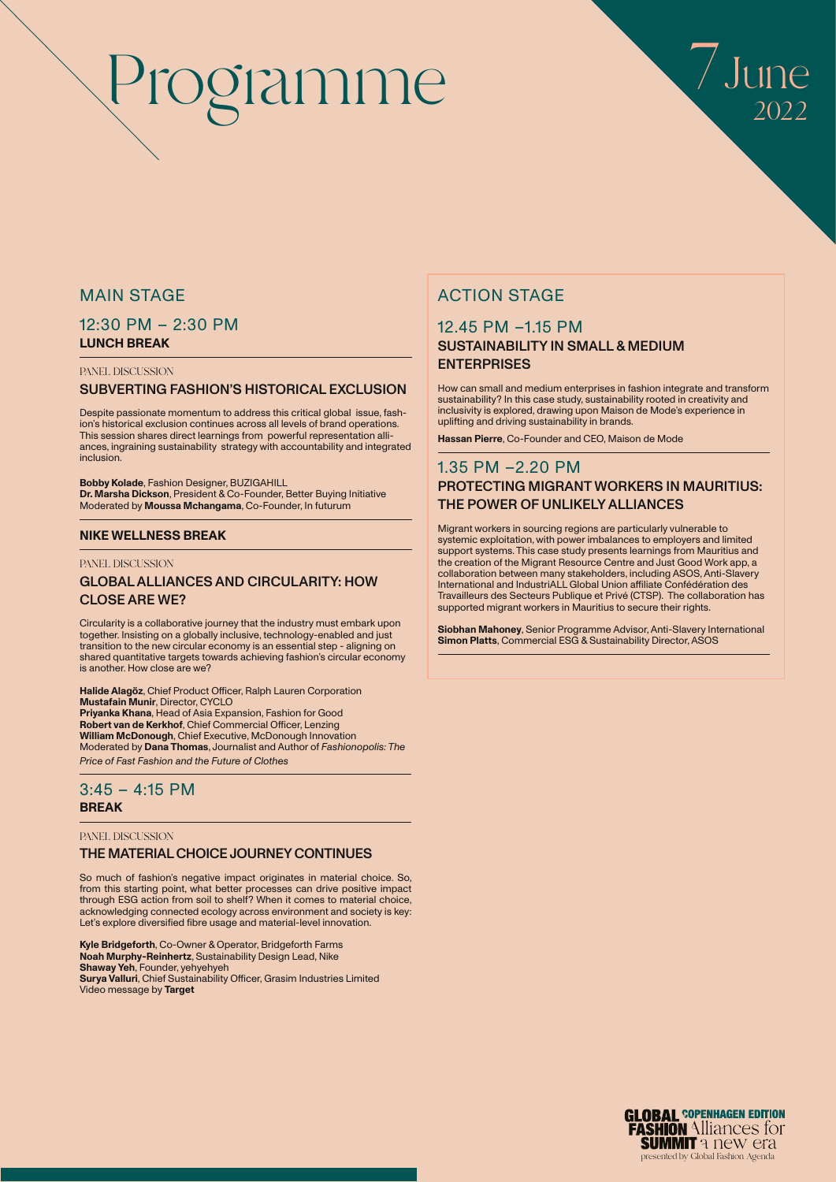

# MAIN STAGE

### 12:30 PM – 2:30 PM **LUNCH BREAK**

#### PANEL DISCUSSION

#### SUBVERTING FASHION'S HISTORICAL EXCLUSION

Despite passionate momentum to address this critical global issue, fashion's historical exclusion continues across all levels of brand operations. This session shares direct learnings from powerful representation alliances, ingraining sustainability strategy with accountability and integrated inclusion.

**Bobby Kolade**, Fashion Designer, BUZIGAHILL **Dr. Marsha Dickson**, President & Co-Founder, Better Buying Initiative Moderated by **Moussa Mchangama**, Co-Founder, In futurum

#### **NIKE WELLNESS BREAK**

#### PANEL DISCUSSION

#### GLOBAL ALLIANCES AND CIRCULARITY: HOW CLOSE ARE WE?

Circularity is a collaborative journey that the industry must embark upon together. Insisting on a globally inclusive, technology-enabled and just transition to the new circular economy is an essential step - aligning on shared quantitative targets towards achieving fashion's circular economy is another. How close are we?

**Halide Alagöz**, Chief Product Officer, Ralph Lauren Corporation **Mustafain Munir**, Director, CYCLO **Priyanka Khana**, Head of Asia Expansion, Fashion for Good **Robert van de Kerkhof**, Chief Commercial Officer, Lenzing **William McDonough**, Chief Executive, McDonough Innovation Moderated by **Dana Thomas**, Journalist and Author of *Fashionopolis: The Price of Fast Fashion and the Future of Clothes*

#### 3:45 – 4:15 PM **BREAK**

#### PANEL DISCUSSION

#### THE MATERIAL CHOICE JOURNEY CONTINUES

So much of fashion's negative impact originates in material choice. So, from this starting point, what better processes can drive positive impact through ESG action from soil to shelf? When it comes to material choice, acknowledging connected ecology across environment and society is key: Let's explore diversified fibre usage and material-level innovation.

**Kyle Bridgeforth**, Co-Owner & Operator, Bridgeforth Farms **Noah Murphy-Reinhertz**, Sustainability Design Lead, Nike **Shaway Yeh**, Founder, yehyehyeh **Surya Valluri**, Chief Sustainability Officer, Grasim Industries Limited Video message by **Target**

# ACTION STAGE

# 12.45 PM –1.15 PM SUSTAINABILITY IN SMALL & MEDIUM **ENTERPRISES**

How can small and medium enterprises in fashion integrate and transform sustainability? In this case study, sustainability rooted in creativity and inclusivity is explored, drawing upon Maison de Mode's experience in uplifting and driving sustainability in brands.

**Hassan Pierre**, Co-Founder and CEO, Maison de Mode

### 1.35 PM –2.20 PM PROTECTING MIGRANT WORKERS IN MAURITIUS: THE POWER OF UNLIKELY ALLIANCES

Migrant workers in sourcing regions are particularly vulnerable to systemic exploitation, with power imbalances to employers and limited support systems. This case study presents learnings from Mauritius and the creation of the Migrant Resource Centre and Just Good Work app, a collaboration between many stakeholders, including ASOS, Anti-Slavery International and IndustriALL Global Union affiliate Confédération des Travailleurs des Secteurs Publique et Privé (CTSP). The collaboration has supported migrant workers in Mauritius to secure their rights.

**Siobhan Mahoney**, Senior Programme Advisor, Anti-Slavery International **Simon Platts**, Commercial ESG & Sustainability Director, ASOS

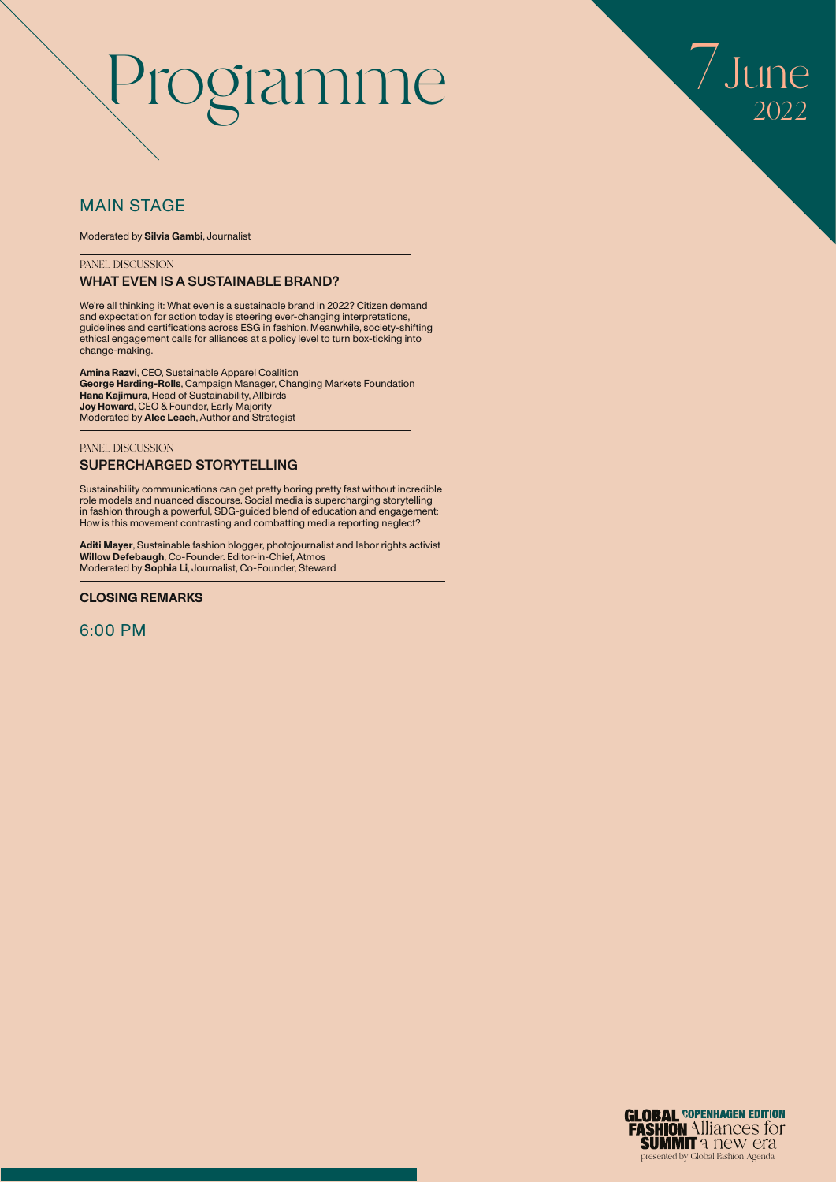

# MAIN STAGE

Moderated by **Silvia Gambi**, Journalist

PANEL DISCUSSION

### WHAT EVEN IS A SUSTAINABLE BRAND?

We're all thinking it: What even is a sustainable brand in 2022? Citizen demand and expectation for action today is steering ever-changing interpretations, guidelines and certifications across ESG in fashion. Meanwhile, society-shifting ethical engagement calls for alliances at a policy level to turn box-ticking into change-making.

**Amina Razvi**, CEO, Sustainable Apparel Coalition **George Harding-Rolls**, Campaign Manager, Changing Markets Foundation **Hana Kajimura**, Head of Sustainability, Allbirds **Joy Howard**, CEO & Founder, Early Majority Moderated by **Alec Leach**, Author and Strategist

#### PANEL DISCUSSION

#### SUPERCHARGED STORYTELLING

Sustainability communications can get pretty boring pretty fast without incredible role models and nuanced discourse. Social media is supercharging storytelling in fashion through a powerful, SDG-guided blend of education and engagement: How is this movement contrasting and combatting media reporting neglect?

**Aditi Mayer**, Sustainable fashion blogger, photojournalist and labor rights activist **Willow Defebaugh**, Co-Founder. Editor-in-Chief, Atmos Moderated by **Sophia Li**, Journalist, Co-Founder, Steward

#### **CLOSING REMARKS**

6:00 PM

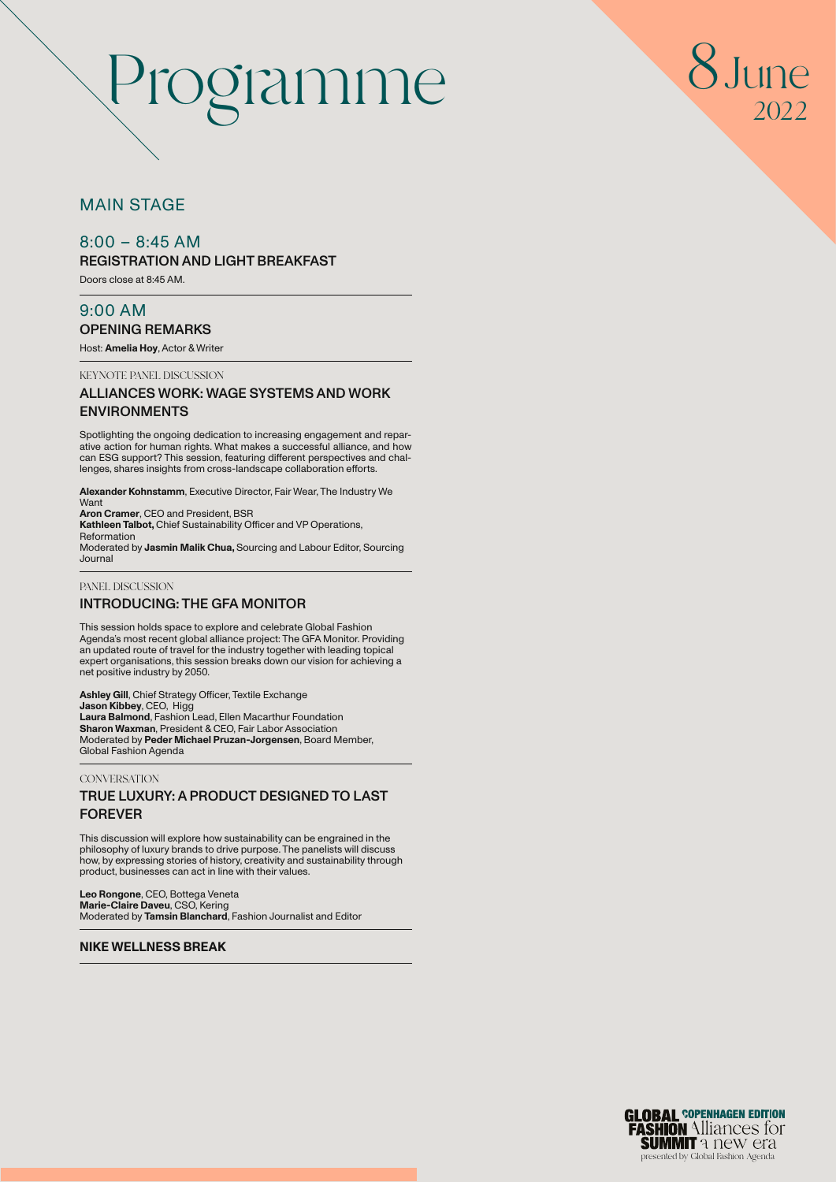

# MAIN STAGE

# $8:00 - 8:45$  AM

REGISTRATION AND LIGHT BREAKFAST

Doors close at 8:45 AM.

# 9:00 AM OPENING REMARKS

Host: **Amelia Hoy**, Actor & Writer

KEYNOTE PANEL DISCUSSION

### ALLIANCES WORK: WAGE SYSTEMS AND WORK ENVIRONMENTS

Spotlighting the ongoing dedication to increasing engagement and reparative action for human rights. What makes a successful alliance, and how can ESG support? This session, featuring different perspectives and challenges, shares insights from cross-landscape collaboration efforts.

**Alexander Kohnstamm**, Executive Director, Fair Wear, The Industry We Want

**Aron Cramer**, CEO and President, BSR **Kathleen Talbot,** Chief Sustainability Officer and VP Operations, Reformation Moderated by **Jasmin Malik Chua,** Sourcing and Labour Editor, Sourcing

Journal

#### PANEL DISCUSSION INTRODUCING: THE GFA MONITOR

This session holds space to explore and celebrate Global Fashion Agenda's most recent global alliance project: The GFA Monitor. Providing an updated route of travel for the industry together with leading topical expert organisations, this session breaks down our vision for achieving a net positive industry by 2050.

**Ashley Gill**, Chief Strategy Officer, Textile Exchange **Jason Kibbey**, CEO, Higg **Laura Balmond**, Fashion Lead, Ellen Macarthur Foundation **Sharon Waxman**, President & CEO, Fair Labor Association Moderated by **Peder Michael Pruzan-Jorgensen**, Board Member, Global Fashion Agenda

#### **CONVERSATION** TRUE LUXURY: A PRODUCT DESIGNED TO LAST FOREVER

This discussion will explore how sustainability can be engrained in the philosophy of luxury brands to drive purpose. The panelists will discuss how, by expressing stories of history, creativity and sustainability through product, businesses can act in line with their values.

**Leo Rongone**, CEO, Bottega Veneta **Marie-Claire Daveu**, CSO, Kering Moderated by **Tamsin Blanchard**, Fashion Journalist and Editor

### **NIKE WELLNESS BREAK**

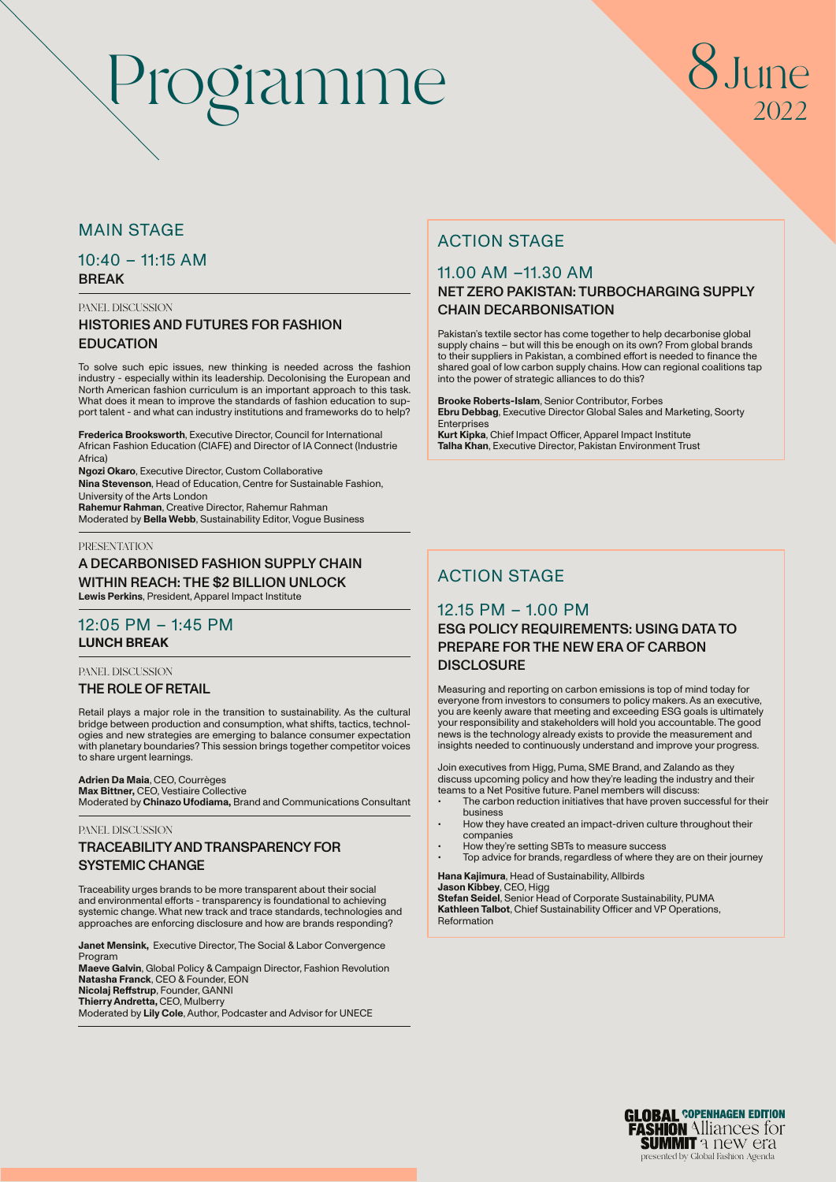# $Inne$ 2022

# MAIN STAGE

# $10:40 - 11:15$  AM BREAK

PANEL DISCUSSION

# HISTORIES AND FUTURES FOR FASHION **EDUCATION**

To solve such epic issues, new thinking is needed across the fashion industry - especially within its leadership. Decolonising the European and North American fashion curriculum is an important approach to this task. What does it mean to improve the standards of fashion education to support talent - and what can industry institutions and frameworks do to help?

**Frederica Brooksworth**, Executive Director, Council for International African Fashion Education (CIAFE) and Director of IA Connect (Industrie Africa)

**Ngozi Okaro**, Executive Director, Custom Collaborative **Nina Stevenson**, Head of Education, Centre for Sustainable Fashion, University of the Arts London

**Rahemur Rahman**, Creative Director, Rahemur Rahman Moderated by **Bella Webb**, Sustainability Editor, Vogue Business

#### PRESENTATION

A DECARBONISED FASHION SUPPLY CHAIN WITHIN REACH: THE \$2 BILLION UNLOCK **Lewis Perkins**, President, Apparel Impact Institute

# 12:05 PM – 1:45 PM **LUNCH BREAK**

PANEL DISCUSSION

#### THE ROLE OF RETAIL

Retail plays a major role in the transition to sustainability. As the cultural bridge between production and consumption, what shifts, tactics, technologies and new strategies are emerging to balance consumer expectation with planetary boundaries? This session brings together competitor voices to share urgent learnings.

### **Adrien Da Maia**, CEO, Courrèges

**Max Bittner,** CEO, Vestiaire Collective Moderated by **Chinazo Ufodiama,** Brand and Communications Consultant

#### PANEL DISCUSSION

### TRACEABILITY AND TRANSPARENCY FOR SYSTEMIC CHANGE

Traceability urges brands to be more transparent about their social and environmental efforts - transparency is foundational to achieving systemic change. What new track and trace standards, technologies and approaches are enforcing disclosure and how are brands responding?

**Janet Mensink,** Executive Director, The Social & Labor Convergence Program

**Maeve Galvin**, Global Policy & Campaign Director, Fashion Revolution **Natasha Franck**, CEO & Founder, EON **Nicolaj Reffstrup**, Founder, GANNI **Thierry Andretta,** CEO, Mulberry Moderated by **Lily Cole**, Author, Podcaster and Advisor for UNECE

# ACTION STAGE

# 11.00 AM –11.30 AM

### NET ZERO PAKISTAN: TURBOCHARGING SUPPLY CHAIN DECARBONISATION

Pakistan's textile sector has come together to help decarbonise global supply chains – but will this be enough on its own? From global brands to their suppliers in Pakistan, a combined effort is needed to finance the shared goal of low carbon supply chains. How can regional coalitions tap into the power of strategic alliances to do this?

**Brooke Roberts-Islam**, Senior Contributor, Forbes **Ebru Debbag**, Executive Director Global Sales and Marketing, Soorty Enterprises

**Kurt Kipka**, Chief Impact Officer, Apparel Impact Institute **Talha Khan**, Executive Director, Pakistan Environment Trust

# ACTION STAGE

# 12.15 PM – 1.00 PM ESG POLICY REQUIREMENTS: USING DATA TO PREPARE FOR THE NEW ERA OF CARBON **DISCLOSURE**

Measuring and reporting on carbon emissions is top of mind today for everyone from investors to consumers to policy makers. As an executive, you are keenly aware that meeting and exceeding ESG goals is ultimately your responsibility and stakeholders will hold you accountable. The good news is the technology already exists to provide the measurement and insights needed to continuously understand and improve your progress.

Join executives from Higg, Puma, SME Brand, and Zalando as they discuss upcoming policy and how they're leading the industry and their teams to a Net Positive future. Panel members will discuss:

- The carbon reduction initiatives that have proven successful for their business
- How they have created an impact-driven culture throughout their companies
- How they're setting SBTs to measure success • Top advice for brands, regardless of where they are on their journey

**Hana Kajimura**, Head of Sustainability, Allbirds **Jason Kibbey**, CEO, Higg

**Stefan Seidel**, Senior Head of Corporate Sustainability, PUMA **Kathleen Talbot**, Chief Sustainability Officer and VP Operations, Reformation

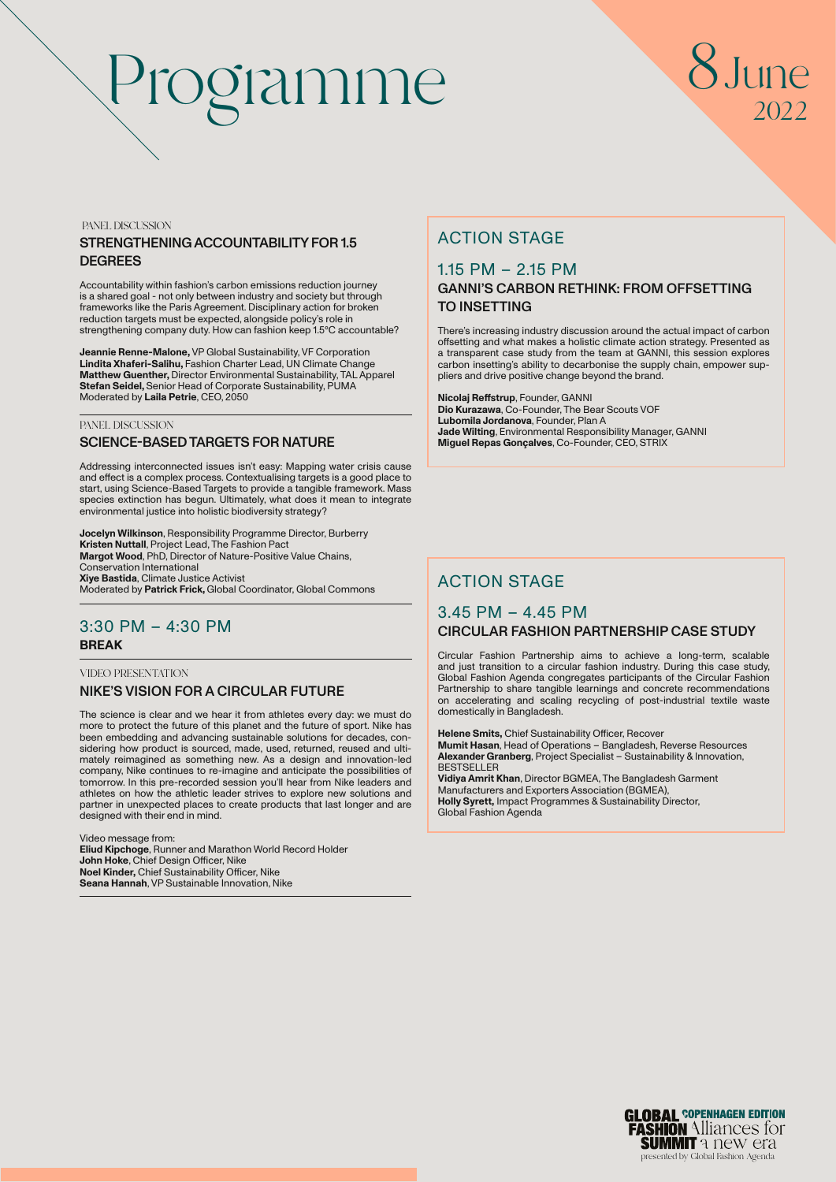# Programme 8June

# 2022

PANEL DISCUSSION

### STRENGTHENING ACCOUNTABILITY FOR 1.5 **DEGREES**

Accountability within fashion's carbon emissions reduction journey is a shared goal - not only between industry and society but through frameworks like the Paris Agreement. Disciplinary action for broken reduction targets must be expected, alongside policy's role in strengthening company duty. How can fashion keep 1.5°C accountable?

**Jeannie Renne-Malone,** VP Global Sustainability, VF Corporation **Lindita Xhaferi-Salihu,** Fashion Charter Lead, UN Climate Change **Matthew Guenther,** Director Environmental Sustainability, TAL Apparel **Stefan Seidel,** Senior Head of Corporate Sustainability, PUMA Moderated by **Laila Petrie**, CEO, 2050

#### PANEL DISCUSSION

#### SCIENCE-BASED TARGETS FOR NATURE

Addressing interconnected issues isn't easy: Mapping water crisis cause and effect is a complex process. Contextualising targets is a good place to start, using Science-Based Targets to provide a tangible framework. Mass species extinction has begun. Ultimately, what does it mean to integrate environmental justice into holistic biodiversity strategy?

**Jocelyn Wilkinson**, Responsibility Programme Director, Burberry **Kristen Nuttall**, Project Lead, The Fashion Pact **Margot Wood**, PhD, Director of Nature-Positive Value Chains, Conservation International **Xiye Bastida**, Climate Justice Activist Moderated by **Patrick Frick,** Global Coordinator, Global Commons

# 3:30 PM – 4:30 PM **BREAK**

#### VIDEO PRESENTATION NIKE'S VISION FOR A CIRCULAR FUTURE

The science is clear and we hear it from athletes every day: we must do more to protect the future of this planet and the future of sport. Nike has been embedding and advancing sustainable solutions for decades, considering how product is sourced, made, used, returned, reused and ultimately reimagined as something new. As a design and innovation-led company, Nike continues to re-imagine and anticipate the possibilities of tomorrow. In this pre-recorded session you'll hear from Nike leaders and athletes on how the athletic leader strives to explore new solutions and partner in unexpected places to create products that last longer and are designed with their end in mind.

Video message from: **Eliud Kipchoge**, Runner and Marathon World Record Holder **John Hoke**, Chief Design Officer, Nike **Noel Kinder,** Chief Sustainability Officer, Nike **Seana Hannah**, VP Sustainable Innovation, Nike

# ACTION STAGE

# 1.15 PM – 2.15 PM

# GANNI'S CARBON RETHINK: FROM OFFSETTING TO INSETTING

There's increasing industry discussion around the actual impact of carbon offsetting and what makes a holistic climate action strategy. Presented as a transparent case study from the team at GANNI, this session explores carbon insetting's ability to decarbonise the supply chain, empower suppliers and drive positive change beyond the brand.

**Nicolaj Reffstrup**, Founder, GANNI **Dio Kurazawa**, Co-Founder, The Bear Scouts VOF **Lubomila Jordanova**, Founder, Plan A **Jade Wilting**, Environmental Responsibility Manager, GANNI **Miguel Repas Gonçalves**, Co-Founder, CEO, STRIX

# ACTION STAGE

# 3.45 PM – 4.45 PM CIRCULAR FASHION PARTNERSHIP CASE STUDY

Circular Fashion Partnership aims to achieve a long-term, scalable and just transition to a circular fashion industry. During this case study, Global Fashion Agenda congregates participants of the Circular Fashion Partnership to share tangible learnings and concrete recommendations on accelerating and scaling recycling of post-industrial textile waste domestically in Bangladesh.

**Helene Smits,** Chief Sustainability Officer, Recover **Mumit Hasan**, Head of Operations – Bangladesh, Reverse Resources **Alexander Granberg**, Project Specialist – Sustainability & Innovation, **BESTSELLER Vidiya Amrit Khan**, Director BGMEA, The Bangladesh Garment Manufacturers and Exporters Association (BGMEA),

**Holly Syrett,** Impact Programmes & Sustainability Director, Global Fashion Agenda

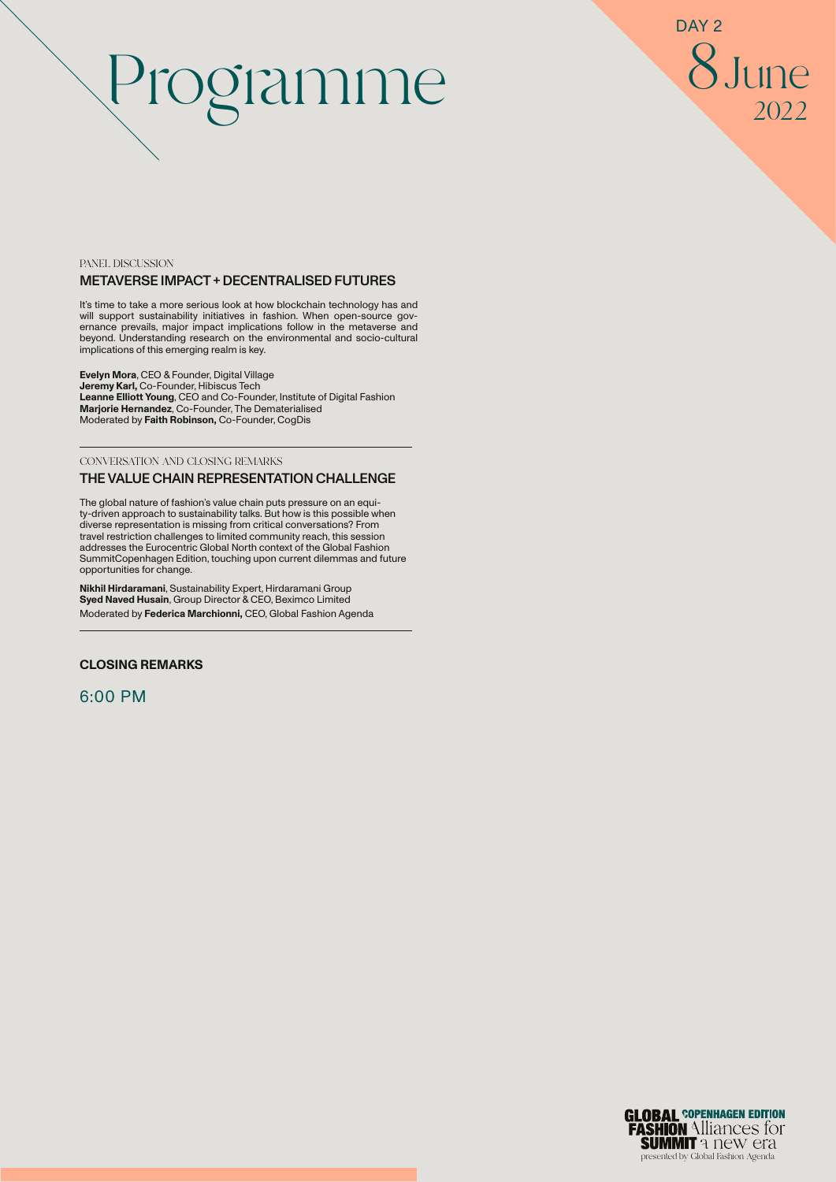8June 2022 DAY<sub>2</sub>

#### PANEL DISCUSSION METAVERSE IMPACT + DECENTRALISED FUTURES

It's time to take a more serious look at how blockchain technology has and will support sustainability initiatives in fashion. When open-source gov-ernance prevails, major impact implications follow in the metaverse and beyond. Understanding research on the environmental and socio-cultural implications of this emerging realm is key.

**Evelyn Mora**, CEO & Founder, Digital Village **Jeremy Karl,** Co-Founder, Hibiscus Tech **Leanne Elliott Young**, CEO and Co-Founder, Institute of Digital Fashion **Marjorie Hernandez**, Co-Founder, The Dematerialised Moderated by **Faith Robinson,** Co-Founder, CogDis

CONVERSATION AND CLOSING REMARKS

#### THE VALUE CHAIN REPRESENTATION CHALLENGE

The global nature of fashion's value chain puts pressure on an equity-driven approach to sustainability talks. But how is this possible when diverse representation is missing from critical conversations? From travel restriction challenges to limited community reach, this session addresses the Eurocentric Global North context of the Global Fashion SummitCopenhagen Edition, touching upon current dilemmas and future opportunities for change.

**Nikhil Hirdaramani**, Sustainability Expert, Hirdaramani Group **Syed Naved Husain**, Group Director & CEO, Beximco Limited Moderated by **Federica Marchionni,** CEO, Global Fashion Agenda

#### **CLOSING REMARKS**

6:00 PM